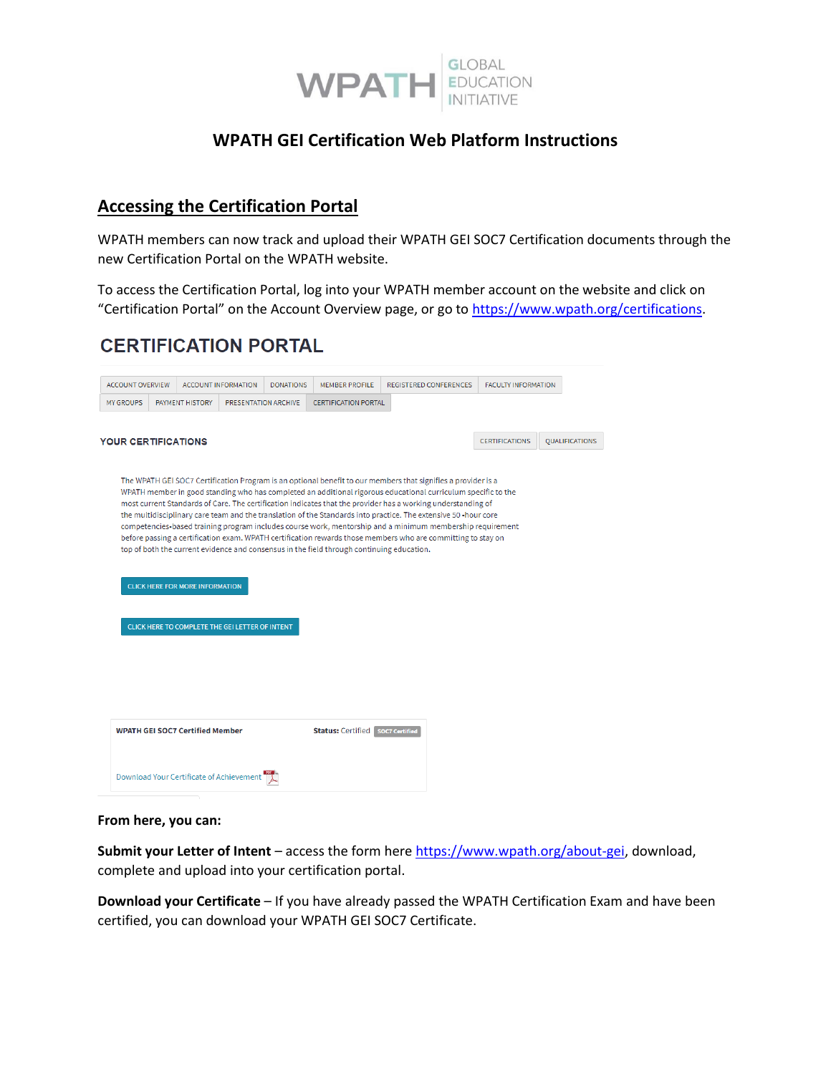

#### **WPATH GEI Certification Web Platform Instructions**

#### **Accessing the Certification Portal**

WPATH members can now track and upload their WPATH GEI SOC7 Certification documents through the new Certification Portal on the WPATH website.

To access the Certification Portal, log into your WPATH member account on the website and click on "Certification Portal" on the Account Overview page, or go to [https://www.wpath.org/certifications.](https://www.wpath.org/certifications)

# **CERTIFICATION PORTAL**

|                            | <b>ACCOUNT OVERVIEW</b> |                                        | <b>ACCOUNT INFORMATION</b>                      | <b>DONATIONS</b> | <b>MEMBER PROFILE</b>                                                                     | REGISTERED CONFERENCES                                                                                                                                                                                                         | <b>FACULTY INFORMATION</b> |                       |
|----------------------------|-------------------------|----------------------------------------|-------------------------------------------------|------------------|-------------------------------------------------------------------------------------------|--------------------------------------------------------------------------------------------------------------------------------------------------------------------------------------------------------------------------------|----------------------------|-----------------------|
| <b>MY GROUPS</b>           |                         | <b>PAYMENT HISTORY</b>                 | PRESENTATION ARCHIVE                            |                  | <b>CERTIFICATION PORTAL</b>                                                               |                                                                                                                                                                                                                                |                            |                       |
|                            |                         |                                        |                                                 |                  |                                                                                           |                                                                                                                                                                                                                                |                            |                       |
| <b>YOUR CERTIFICATIONS</b> |                         |                                        |                                                 |                  |                                                                                           |                                                                                                                                                                                                                                | <b>CERTIFICATIONS</b>      | <b>QUALIFICATIONS</b> |
|                            |                         |                                        |                                                 |                  |                                                                                           |                                                                                                                                                                                                                                |                            |                       |
|                            |                         |                                        |                                                 |                  |                                                                                           | The WPATH GEI SOC7 Certification Program is an optional benefit to our members that signifies a provider is a<br>WPATH member in good standing who has completed an additional rigorous educational curriculum specific to the |                            |                       |
|                            |                         |                                        |                                                 |                  |                                                                                           | most current Standards of Care. The certification indicates that the provider has a working understanding of                                                                                                                   |                            |                       |
|                            |                         |                                        |                                                 |                  |                                                                                           | the multidisciplinary care team and the translation of the Standards into practice. The extensive 50 -hour core<br>competencies-based training program includes course work, mentorship and a minimum membership requirement   |                            |                       |
|                            |                         |                                        |                                                 |                  |                                                                                           | before passing a certification exam. WPATH certification rewards those members who are committing to stay on                                                                                                                   |                            |                       |
|                            |                         |                                        |                                                 |                  | top of both the current evidence and consensus in the field through continuing education. |                                                                                                                                                                                                                                |                            |                       |
|                            |                         |                                        |                                                 |                  |                                                                                           |                                                                                                                                                                                                                                |                            |                       |
|                            |                         |                                        |                                                 |                  |                                                                                           |                                                                                                                                                                                                                                |                            |                       |
|                            |                         |                                        |                                                 |                  |                                                                                           |                                                                                                                                                                                                                                |                            |                       |
|                            |                         | <b>CLICK HERE FOR MORE INFORMATION</b> |                                                 |                  |                                                                                           |                                                                                                                                                                                                                                |                            |                       |
|                            |                         |                                        |                                                 |                  |                                                                                           |                                                                                                                                                                                                                                |                            |                       |
|                            |                         |                                        | CLICK HERE TO COMPLETE THE GEI LETTER OF INTENT |                  |                                                                                           |                                                                                                                                                                                                                                |                            |                       |
|                            |                         |                                        |                                                 |                  |                                                                                           |                                                                                                                                                                                                                                |                            |                       |
|                            |                         |                                        |                                                 |                  |                                                                                           |                                                                                                                                                                                                                                |                            |                       |
|                            |                         |                                        |                                                 |                  |                                                                                           |                                                                                                                                                                                                                                |                            |                       |
|                            |                         |                                        |                                                 |                  |                                                                                           |                                                                                                                                                                                                                                |                            |                       |
|                            |                         |                                        |                                                 |                  |                                                                                           |                                                                                                                                                                                                                                |                            |                       |
|                            |                         |                                        |                                                 |                  |                                                                                           |                                                                                                                                                                                                                                |                            |                       |
|                            |                         | <b>WPATH GEI SOC7 Certified Member</b> |                                                 |                  | <b>Status: Certified   socz Certified</b>                                                 |                                                                                                                                                                                                                                |                            |                       |
|                            |                         |                                        |                                                 |                  |                                                                                           |                                                                                                                                                                                                                                |                            |                       |
|                            |                         |                                        |                                                 |                  |                                                                                           |                                                                                                                                                                                                                                |                            |                       |

#### **From here, you can:**

**Submit your Letter of Intent** – access the form here [https://www.wpath.org/about-gei,](https://www.wpath.org/about-gei) download, complete and upload into your certification portal.

**Download your Certificate** – If you have already passed the WPATH Certification Exam and have been certified, you can download your WPATH GEI SOC7 Certificate.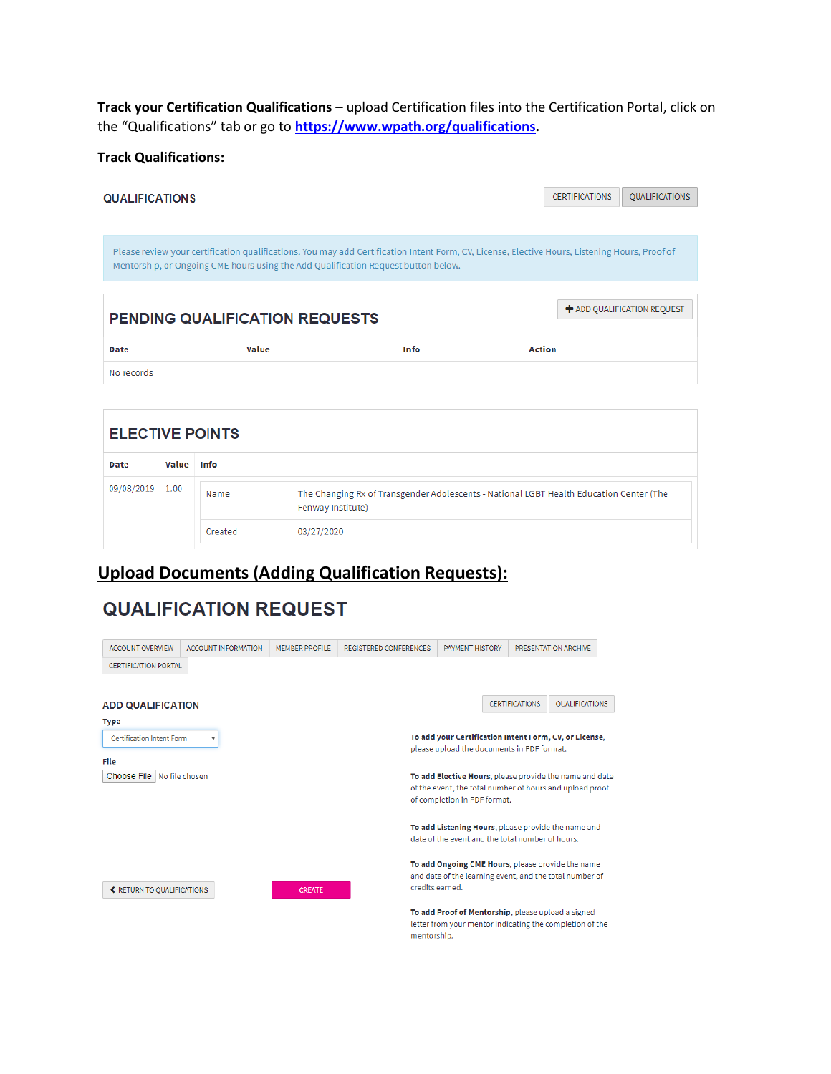**Track your Certification Qualifications** – upload Certification files into the Certification Portal, click on the "Qualifications" tab or go to **[https://www.wpath.org/qualifications.](https://www.wpath.org/qualifications)**

**Track Qualifications:**

| <b>QUALIFICATIONS</b> |                                                                                                                                                                                                                                      | <b>CERTIFICATIONS</b> | <b>OUALIFICATIONS</b> |                             |
|-----------------------|--------------------------------------------------------------------------------------------------------------------------------------------------------------------------------------------------------------------------------------|-----------------------|-----------------------|-----------------------------|
|                       |                                                                                                                                                                                                                                      |                       |                       |                             |
|                       | Please review your certification qualifications. You may add Certification Intent Form, CV, License, Elective Hours, Listening Hours, Proof of<br>Mentorship, or Ongoing CME hours using the Add Qualification Request button below. |                       |                       |                             |
|                       | <b>PENDING QUALIFICATION REQUESTS</b>                                                                                                                                                                                                |                       |                       | + ADD QUALIFICATION REQUEST |
| <b>Date</b>           | Value                                                                                                                                                                                                                                | Info                  | <b>Action</b>         |                             |
| No records            |                                                                                                                                                                                                                                      |                       |                       |                             |

| <b>ELECTIVE POINTS</b> |       |         |                                                                                                              |
|------------------------|-------|---------|--------------------------------------------------------------------------------------------------------------|
| Date                   | Value | Info    |                                                                                                              |
| 09/08/2019             | 1.00  | Name    | The Changing Rx of Transgender Adolescents - National LGBT Health Education Center (The<br>Fenway Institute) |
|                        |       | Created | 03/27/2020                                                                                                   |

## **Upload Documents (Adding Qualification Requests):**

# **QUALIFICATION REQUEST**

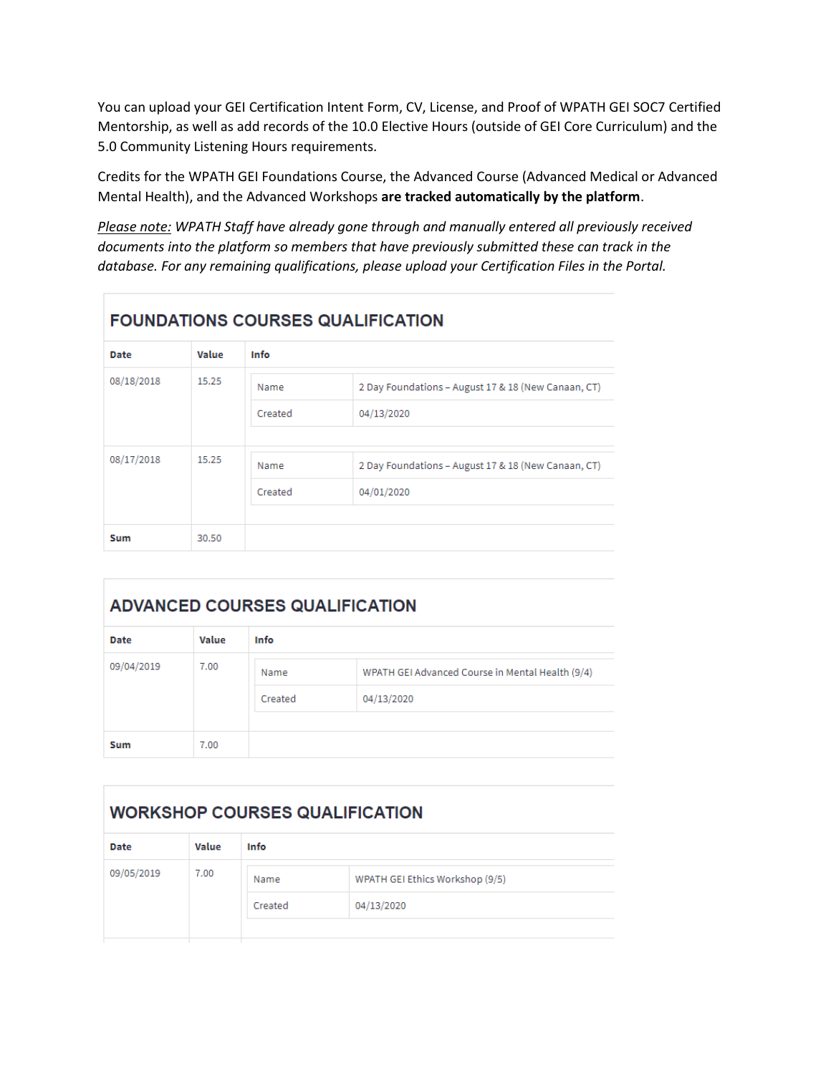You can upload your GEI Certification Intent Form, CV, License, and Proof of WPATH GEI SOC7 Certified Mentorship, as well as add records of the 10.0 Elective Hours (outside of GEI Core Curriculum) and the 5.0 Community Listening Hours requirements.

Credits for the WPATH GEI Foundations Course, the Advanced Course (Advanced Medical or Advanced Mental Health), and the Advanced Workshops **are tracked automatically by the platform**.

*Please note: WPATH Staff have already gone through and manually entered all previously received documents into the platform so members that have previously submitted these can track in the database. For any remaining qualifications, please upload your Certification Files in the Portal.*

# **FOUNDATIONS COURSES QUALIFICATION**

| <b>Date</b> | <b>Value</b> | Info    |                                                     |
|-------------|--------------|---------|-----------------------------------------------------|
| 08/18/2018  | 15.25        | Name    | 2 Day Foundations - August 17 & 18 (New Canaan, CT) |
|             |              | Created | 04/13/2020                                          |
|             |              |         |                                                     |
| 08/17/2018  | 15.25        | Name    | 2 Day Foundations - August 17 & 18 (New Canaan, CT) |
|             |              | Created | 04/01/2020                                          |
|             |              |         |                                                     |
| Sum         | 30.50        |         |                                                     |

# **ADVANCED COURSES QUALIFICATION**

| <b>Date</b> | <b>Value</b> | Info    |                                                  |
|-------------|--------------|---------|--------------------------------------------------|
| 09/04/2019  | 7.00         | Name    | WPATH GEI Advanced Course in Mental Health (9/4) |
|             |              | Created | 04/13/2020                                       |
|             |              |         |                                                  |
| <b>Sum</b>  | 7.00         |         |                                                  |

### **WORKSHOP COURSES QUALIFICATION**

| <b>Date</b> | Value | Info            |                                               |
|-------------|-------|-----------------|-----------------------------------------------|
| 09/05/2019  | 7.00  | Name<br>Created | WPATH GEI Ethics Workshop (9/5)<br>04/13/2020 |